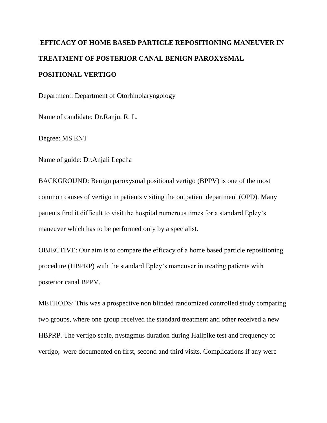## **EFFICACY OF HOME BASED PARTICLE REPOSITIONING MANEUVER IN TREATMENT OF POSTERIOR CANAL BENIGN PAROXYSMAL POSITIONAL VERTIGO**

Department: Department of Otorhinolaryngology

Name of candidate: Dr.Ranju. R. L.

Degree: MS ENT

Name of guide: Dr.Anjali Lepcha

BACKGROUND: Benign paroxysmal positional vertigo (BPPV) is one of the most common causes of vertigo in patients visiting the outpatient department (OPD). Many patients find it difficult to visit the hospital numerous times for a standard Epley's maneuver which has to be performed only by a specialist.

OBJECTIVE: Our aim is to compare the efficacy of a home based particle repositioning procedure (HBPRP) with the standard Epley's maneuver in treating patients with posterior canal BPPV.

METHODS: This was a prospective non blinded randomized controlled study comparing two groups, where one group received the standard treatment and other received a new HBPRP. The vertigo scale, nystagmus duration during Hallpike test and frequency of vertigo, were documented on first, second and third visits. Complications if any were